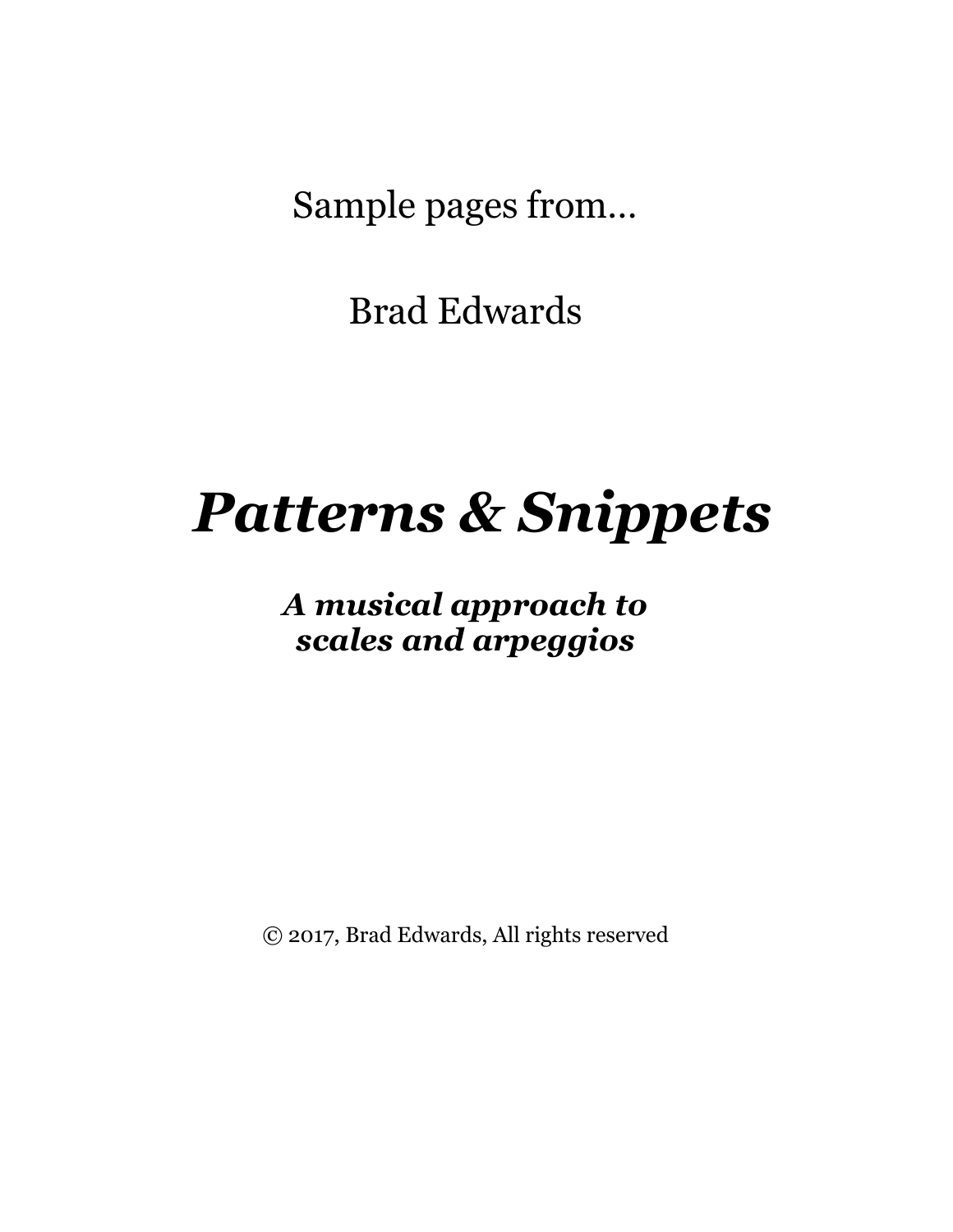Sample pages from…

Brad Edwards

# *Patterns & Snippets*

*A musical approach to scales and arpeggios*

© 2017, Brad Edwards, All rights reserved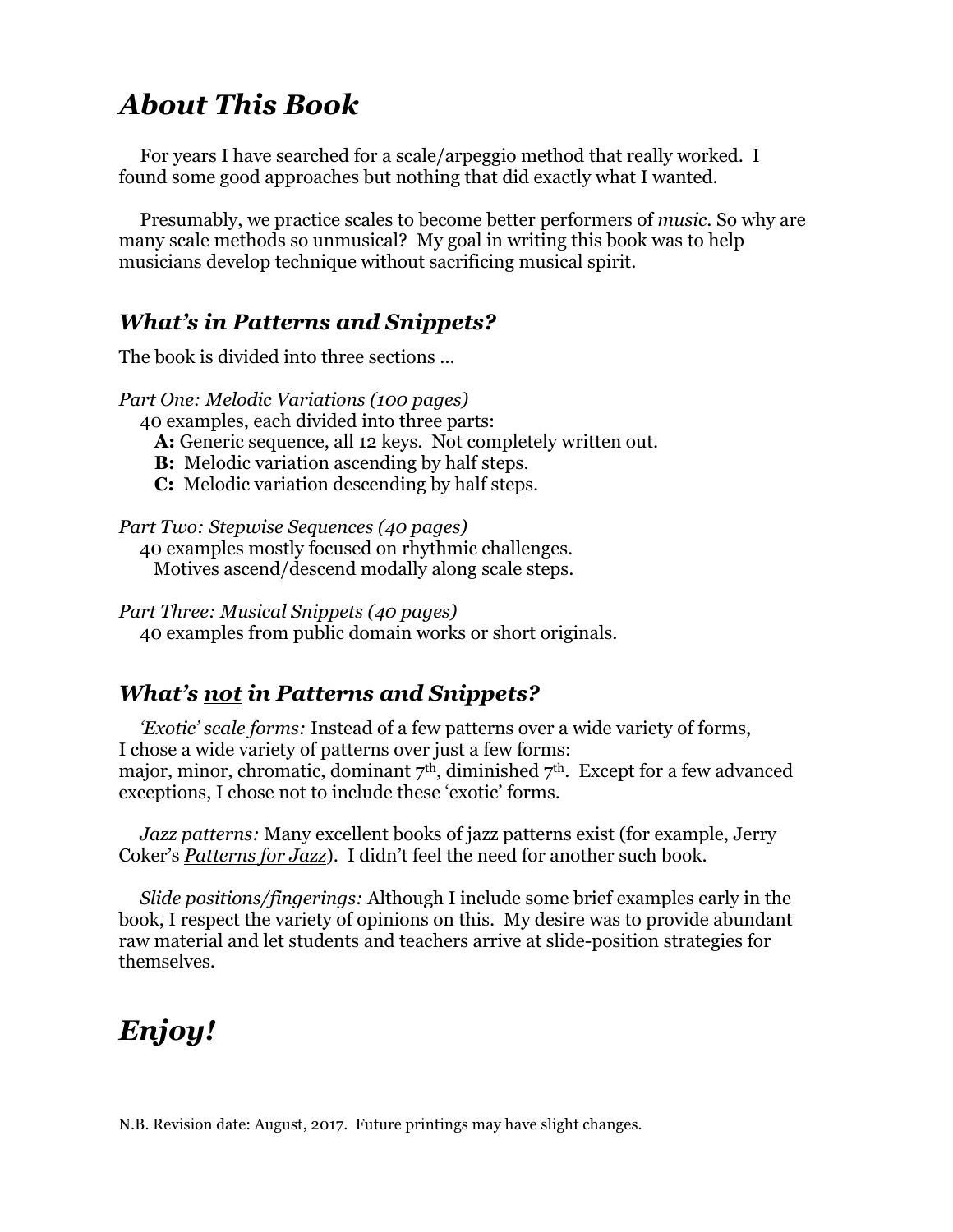## *About This Book*

For years I have searched for a scale/arpeggio method that really worked. I found some good approaches but nothing that did exactly what I wanted.

Presumably, we practice scales to become better performers of *music*. So why are many scale methods so unmusical? My goal in writing this book was to help musicians develop technique without sacrificing musical spirit.

#### *What's in Patterns and Snippets?*

The book is divided into three sections …

*Part One: Melodic Variations (100 pages)* 40 examples, each divided into three parts:  **A:** Generic sequence, all 12 keys. Not completely written out. **B:** Melodic variation ascending by half steps.  **C:** Melodic variation descending by half steps.

*Part Two: Stepwise Sequences (40 pages)* 40 examples mostly focused on rhythmic challenges. Motives ascend/descend modally along scale steps.

*Part Three: Musical Snippets (40 pages)* 40 examples from public domain works or short originals.

#### *What's not in Patterns and Snippets?*

*'Exotic' scale forms:* Instead of a few patterns over a wide variety of forms, I chose a wide variety of patterns over just a few forms: major, minor, chromatic, dominant 7<sup>th</sup>, diminished 7<sup>th</sup>. Except for a few advanced exceptions, I chose not to include these 'exotic' forms.

*Jazz patterns:* Many excellent books of jazz patterns exist (for example, Jerry Coker's *Patterns for Jazz*). I didn't feel the need for another such book.

*Slide positions/fingerings:* Although I include some brief examples early in the book, I respect the variety of opinions on this. My desire was to provide abundant raw material and let students and teachers arrive at slide-position strategies for themselves.

# *Enjoy!*

N.B. Revision date: August, 2017. Future printings may have slight changes.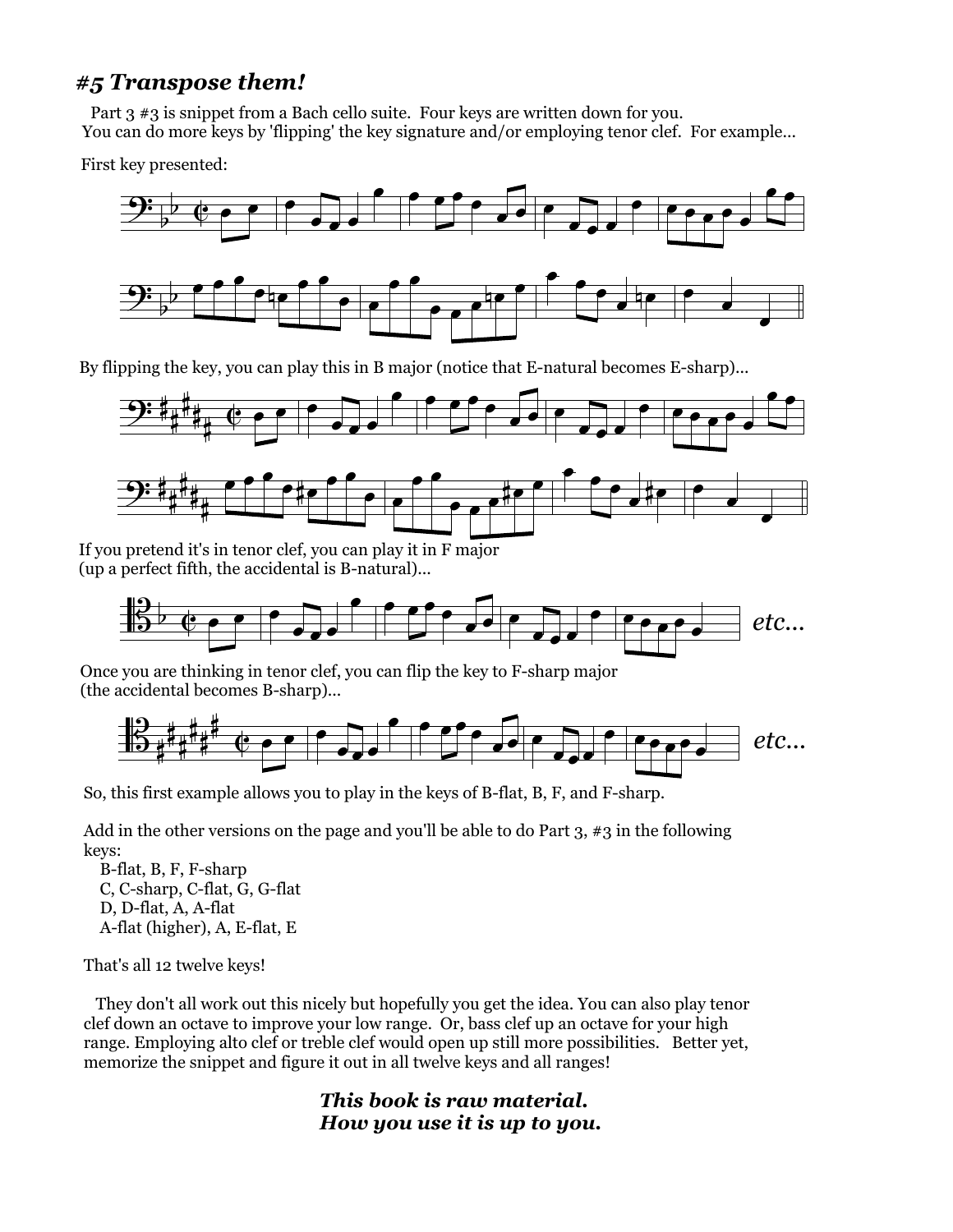#### *#5 Transpose them!*

 Part 3 #3 is snippet from a Bach cello suite. Four keys are written down for you. You can do more keys by 'flipping' the key signature and/or employing tenor clef. For example...

First key presented:



By flipping the key, you can play this in B major (notice that E-natural becomes E-sharp)...



If you pretend it's in tenor clef, you can play it in F major (up a perfect fifth, the accidental is B-natural)...



Once you are thinking in tenor clef, you can flip the key to F-sharp major (the accidental becomes B-sharp)...



So, this first example allows you to play in the keys of B-flat, B, F, and F-sharp.

Add in the other versions on the page and you'll be able to do Part 3,  $\#3$  in the following keys:

 B-flat, B, F, F-sharp C, C-sharp, C-flat, G, G-flat D, D-flat, A, A-flat A-flat (higher), A, E-flat, E

That's all 12 twelve keys!

 They don't all work out this nicely but hopefully you get the idea. You can also play tenor clef down an octave to improve your low range. Or, bass clef up an octave for your high range. Employing alto clef or treble clef would open up still more possibilities. Better yet, memorize the snippet and figure it out in all twelve keys and all ranges!

> *This book is raw material. How you use it is up to you.*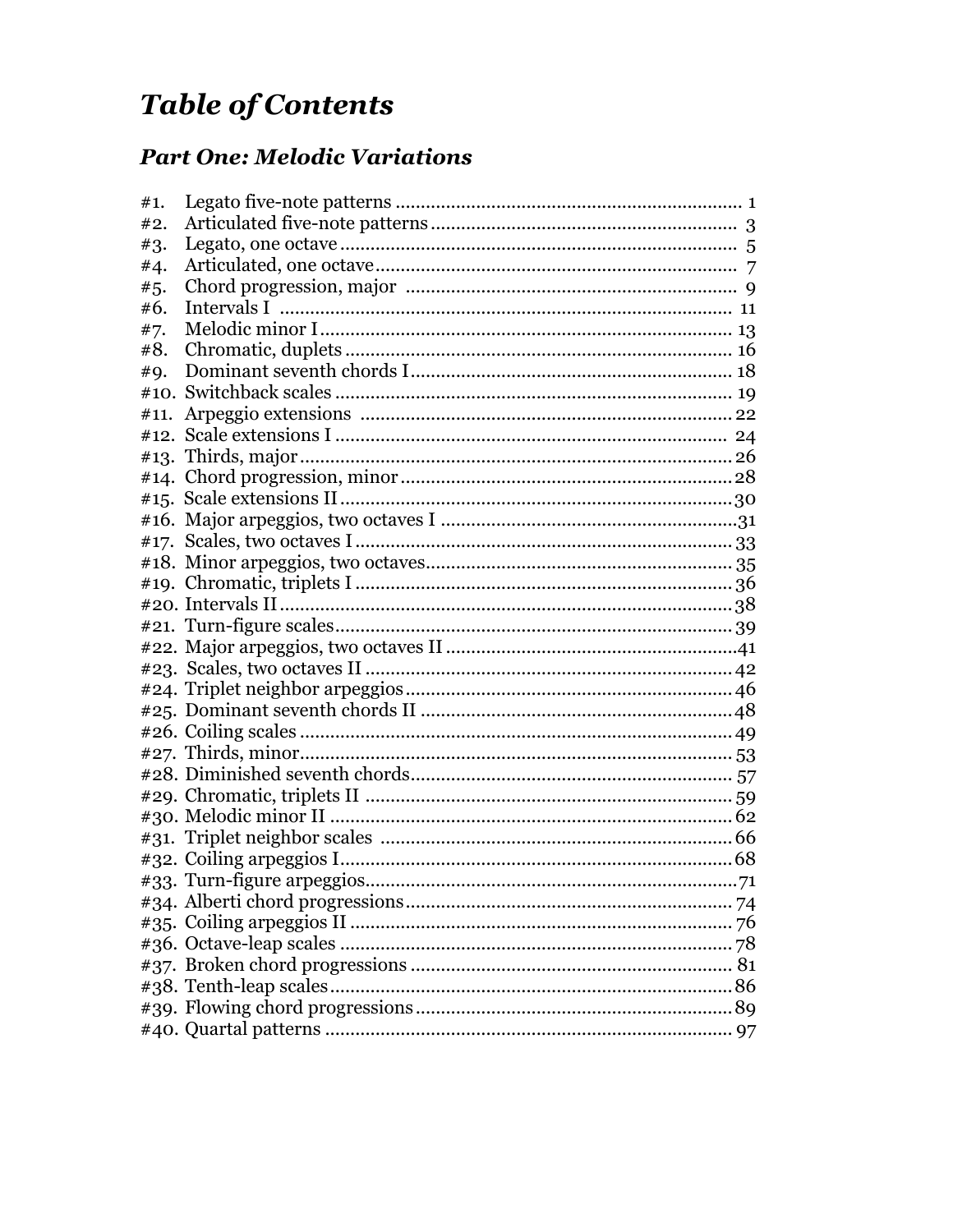# **Table of Contents**

#### **Part One: Melodic Variations**

| #1.  |  |
|------|--|
| #2.  |  |
| #3.  |  |
| #4.  |  |
| #5.  |  |
| #6.  |  |
| #7.  |  |
| #8.  |  |
| #9.  |  |
|      |  |
| #11. |  |
| #12. |  |
|      |  |
|      |  |
|      |  |
|      |  |
|      |  |
|      |  |
|      |  |
|      |  |
|      |  |
|      |  |
|      |  |
|      |  |
|      |  |
|      |  |
|      |  |
|      |  |
|      |  |
|      |  |
|      |  |
|      |  |
|      |  |
|      |  |
|      |  |
|      |  |
|      |  |
|      |  |
|      |  |
|      |  |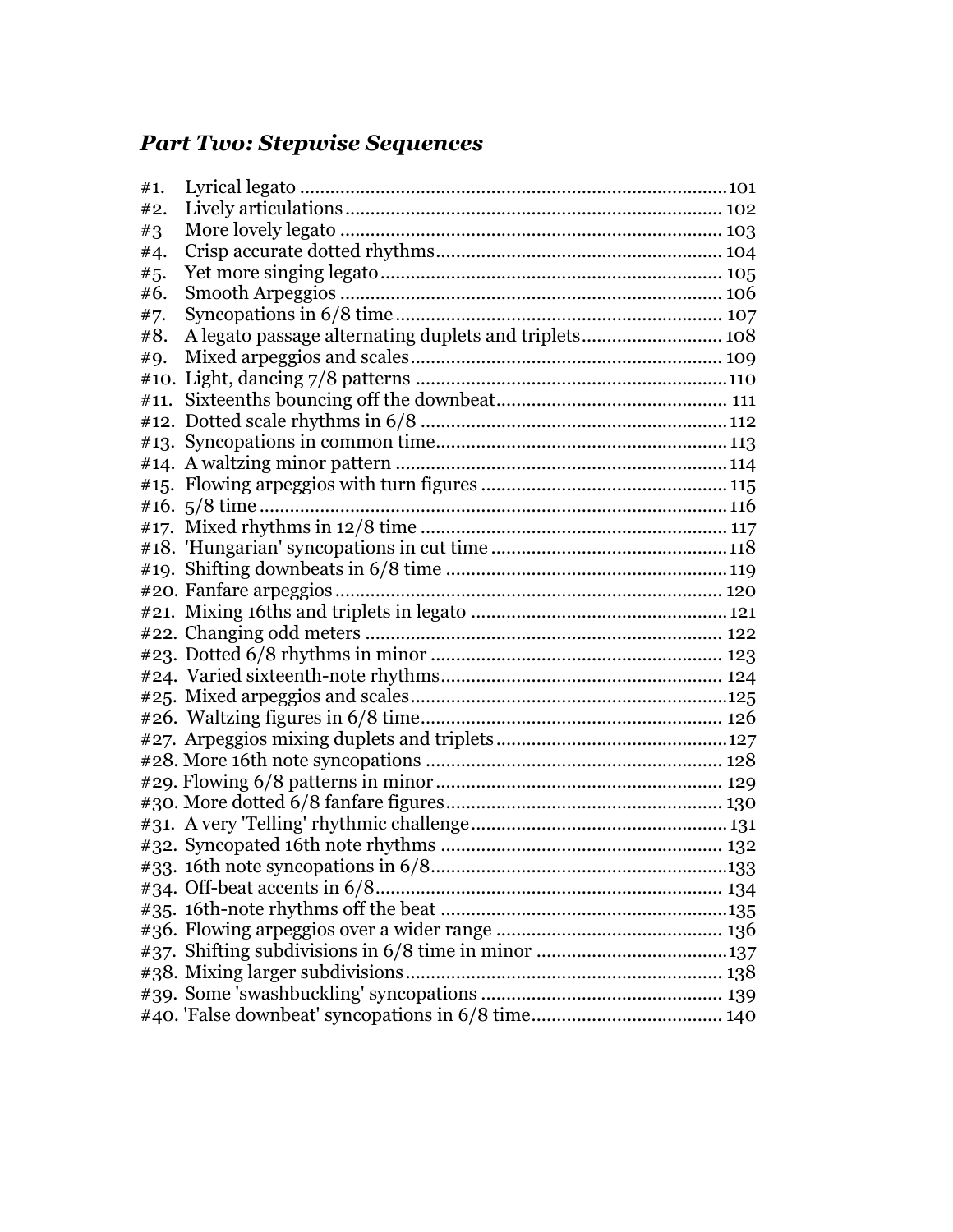#### *Part Two: Stepwise Sequences*

| #1. |                                                       |
|-----|-------------------------------------------------------|
| #2. |                                                       |
| #3  |                                                       |
| #4. |                                                       |
| #5. |                                                       |
| #6. |                                                       |
| #7. |                                                       |
| #8. | A legato passage alternating duplets and triplets 108 |
| #9. |                                                       |
|     |                                                       |
|     |                                                       |
|     |                                                       |
|     |                                                       |
|     |                                                       |
|     |                                                       |
|     |                                                       |
|     |                                                       |
|     |                                                       |
|     |                                                       |
|     |                                                       |
|     |                                                       |
|     |                                                       |
|     |                                                       |
|     |                                                       |
|     |                                                       |
|     |                                                       |
|     |                                                       |
|     |                                                       |
|     |                                                       |
|     |                                                       |
|     |                                                       |
|     |                                                       |
|     |                                                       |
|     |                                                       |
|     |                                                       |
|     |                                                       |
|     |                                                       |
|     |                                                       |
|     |                                                       |
|     |                                                       |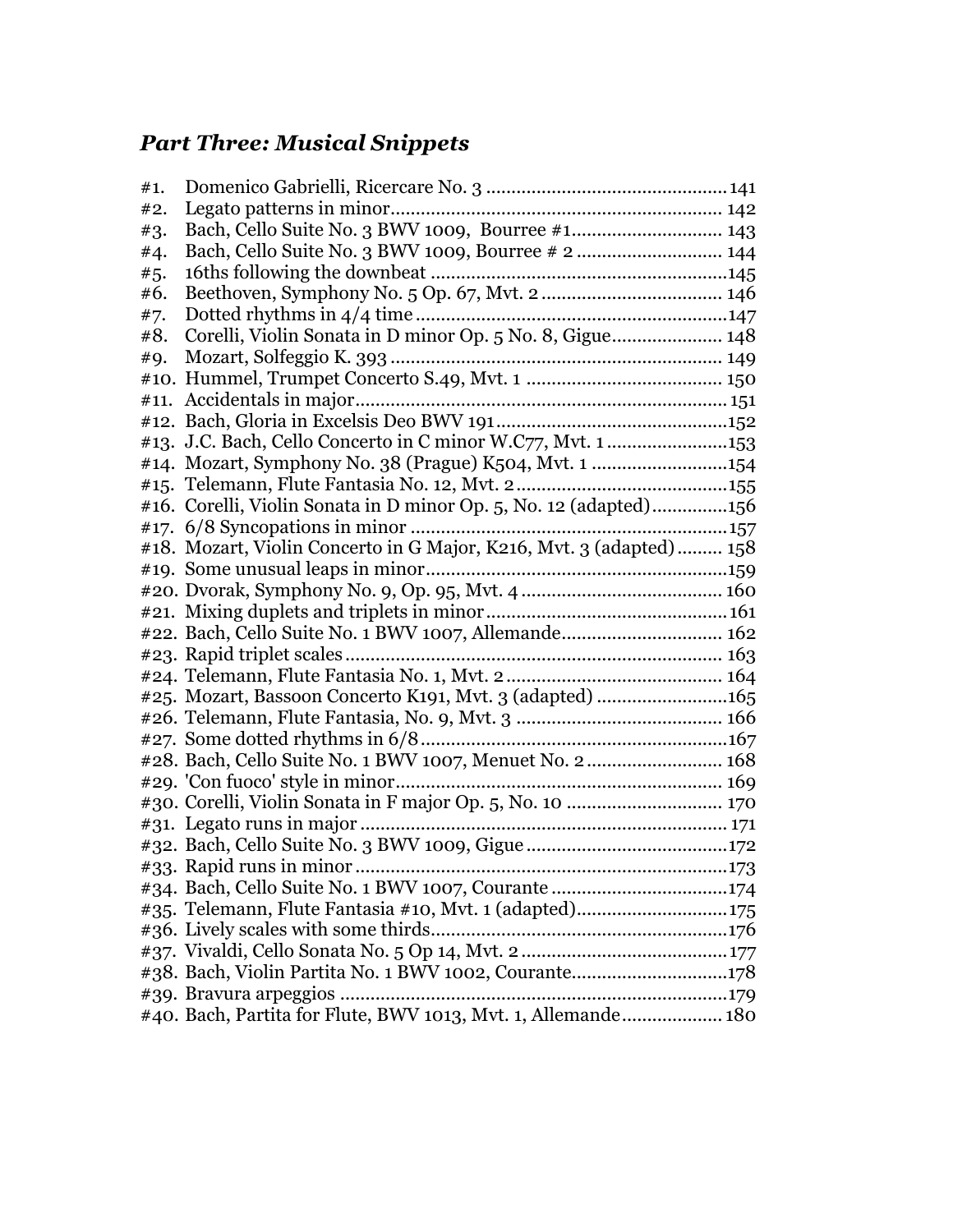# *Part Three: Musical Snippets*

| #1. |                                                                     |
|-----|---------------------------------------------------------------------|
| #2. |                                                                     |
| #3. | Bach, Cello Suite No. 3 BWV 1009, Bourree #1 143                    |
| #4. |                                                                     |
| #5. |                                                                     |
| #6. |                                                                     |
| #7. |                                                                     |
| #8. | Corelli, Violin Sonata in D minor Op. 5 No. 8, Gigue 148            |
| #9. |                                                                     |
|     |                                                                     |
|     |                                                                     |
|     |                                                                     |
|     | #13. J.C. Bach, Cello Concerto in C minor W.C77, Mvt. 1153          |
|     | #14. Mozart, Symphony No. 38 (Prague) K504, Mvt. 1 154              |
|     |                                                                     |
|     | #16. Corelli, Violin Sonata in D minor Op. 5, No. 12 (adapted)156   |
|     |                                                                     |
|     | #18. Mozart, Violin Concerto in G Major, K216, Mvt. 3 (adapted) 158 |
|     |                                                                     |
|     |                                                                     |
|     |                                                                     |
|     | #22. Bach, Cello Suite No. 1 BWV 1007, Allemande 162                |
|     |                                                                     |
|     |                                                                     |
|     | #25. Mozart, Bassoon Concerto K191, Mvt. 3 (adapted) 165            |
|     |                                                                     |
|     |                                                                     |
|     | #28. Bach, Cello Suite No. 1 BWV 1007, Menuet No. 2 168             |
|     |                                                                     |
|     |                                                                     |
|     |                                                                     |
|     |                                                                     |
|     |                                                                     |
|     |                                                                     |
|     | #35. Telemann, Flute Fantasia #10, Mvt. 1 (adapted)175              |
|     |                                                                     |
|     |                                                                     |
|     | #38. Bach, Violin Partita No. 1 BWV 1002, Courante178               |
|     | #39. Bravura arpeggios.                                             |
|     | #40. Bach, Partita for Flute, BWV 1013, Mvt. 1, Allemande 180       |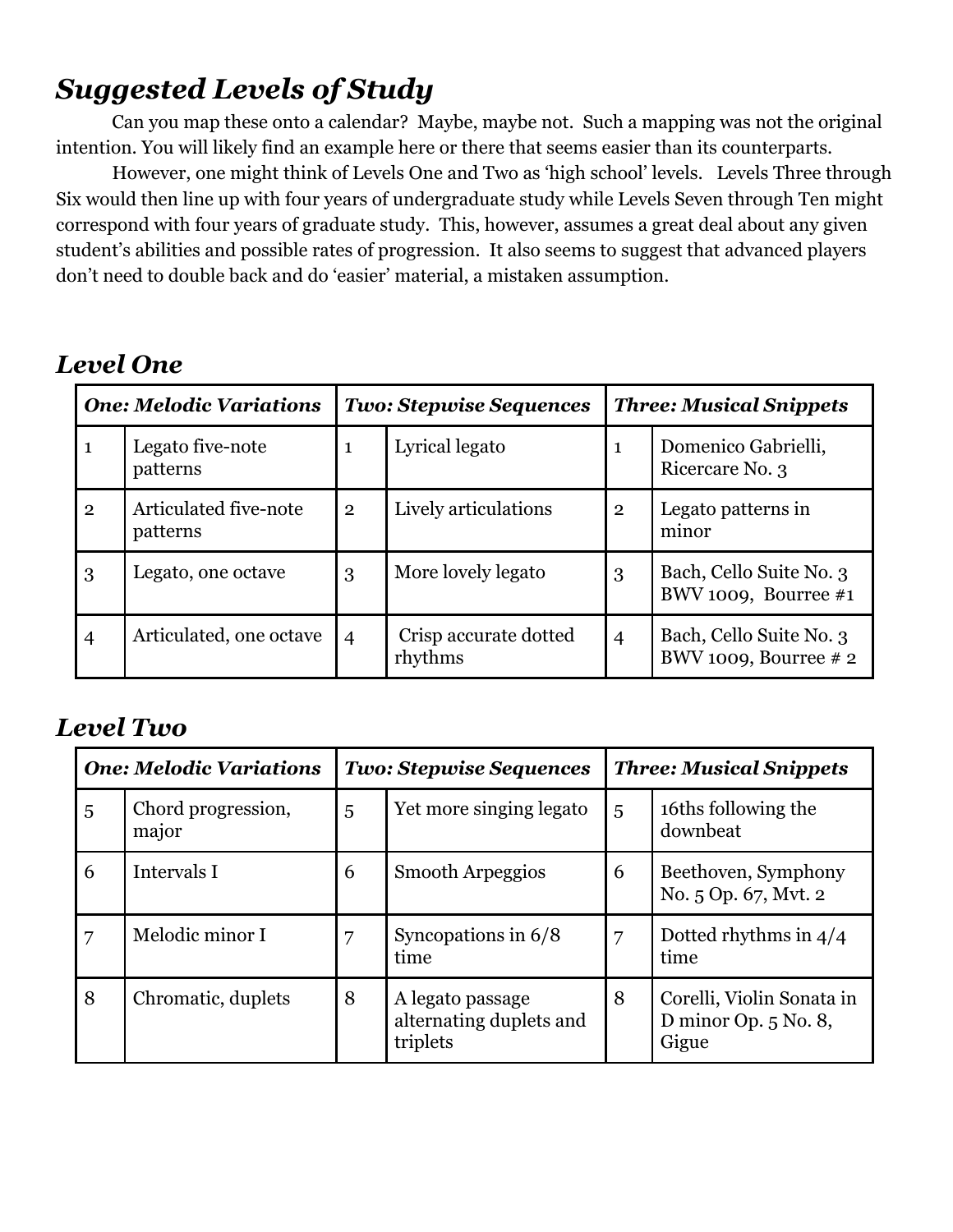# *Suggested Levels of Study*

Can you map these onto a calendar? Maybe, maybe not. Such a mapping was not the original intention. You will likely find an example here or there that seems easier than its counterparts.

However, one might think of Levels One and Two as 'high school' levels. Levels Three through Six would then line up with four years of undergraduate study while Levels Seven through Ten might correspond with four years of graduate study. This, however, assumes a great deal about any given student's abilities and possible rates of progression. It also seems to suggest that advanced players don't need to double back and do 'easier' material, a mistaken assumption.

#### *Level One*

| <b>One: Melodic Variations</b> |                                   | <b>Two: Stepwise Sequences</b> |                                  | <b>Three: Musical Snippets</b> |                                                    |
|--------------------------------|-----------------------------------|--------------------------------|----------------------------------|--------------------------------|----------------------------------------------------|
| $\mathbf{1}$                   | Legato five-note<br>patterns      | 1                              | Lyrical legato                   | 1                              | Domenico Gabrielli,<br>Ricercare No. 3             |
| $\overline{2}$                 | Articulated five-note<br>patterns | $\overline{2}$                 | Lively articulations             | $\mathbf{2}$                   | Legato patterns in<br>minor                        |
| 3                              | Legato, one octave                | 3                              | More lovely legato               | 3                              | Bach, Cello Suite No. 3<br>BWV 1009, Bourree $#1$  |
| $\overline{4}$                 | Articulated, one octave           | $\overline{4}$                 | Crisp accurate dotted<br>rhythms | $\overline{4}$                 | Bach, Cello Suite No. 3<br>BWV 1009, Bourree $# 2$ |

#### *Level Two*

| <b>One: Melodic Variations</b> |                             | <b>Two: Stepwise Sequences</b> |                                                         | <b>Three: Musical Snippets</b> |                                                              |
|--------------------------------|-----------------------------|--------------------------------|---------------------------------------------------------|--------------------------------|--------------------------------------------------------------|
| 5                              | Chord progression,<br>major | 5                              | Yet more singing legato                                 | 5                              | 16ths following the<br>downbeat                              |
| 6                              | Intervals I                 | 6                              | Smooth Arpeggios                                        | 6                              | Beethoven, Symphony<br>No. 5 Op. 67, Mvt. 2                  |
|                                | Melodic minor I             | 7                              | Syncopations in $6/8$<br>time                           | 7                              | Dotted rhythms in $4/4$<br>time                              |
| 8                              | Chromatic, duplets          | 8                              | A legato passage<br>alternating duplets and<br>triplets | 8                              | Corelli, Violin Sonata in<br>D minor Op. $5$ No. 8,<br>Gigue |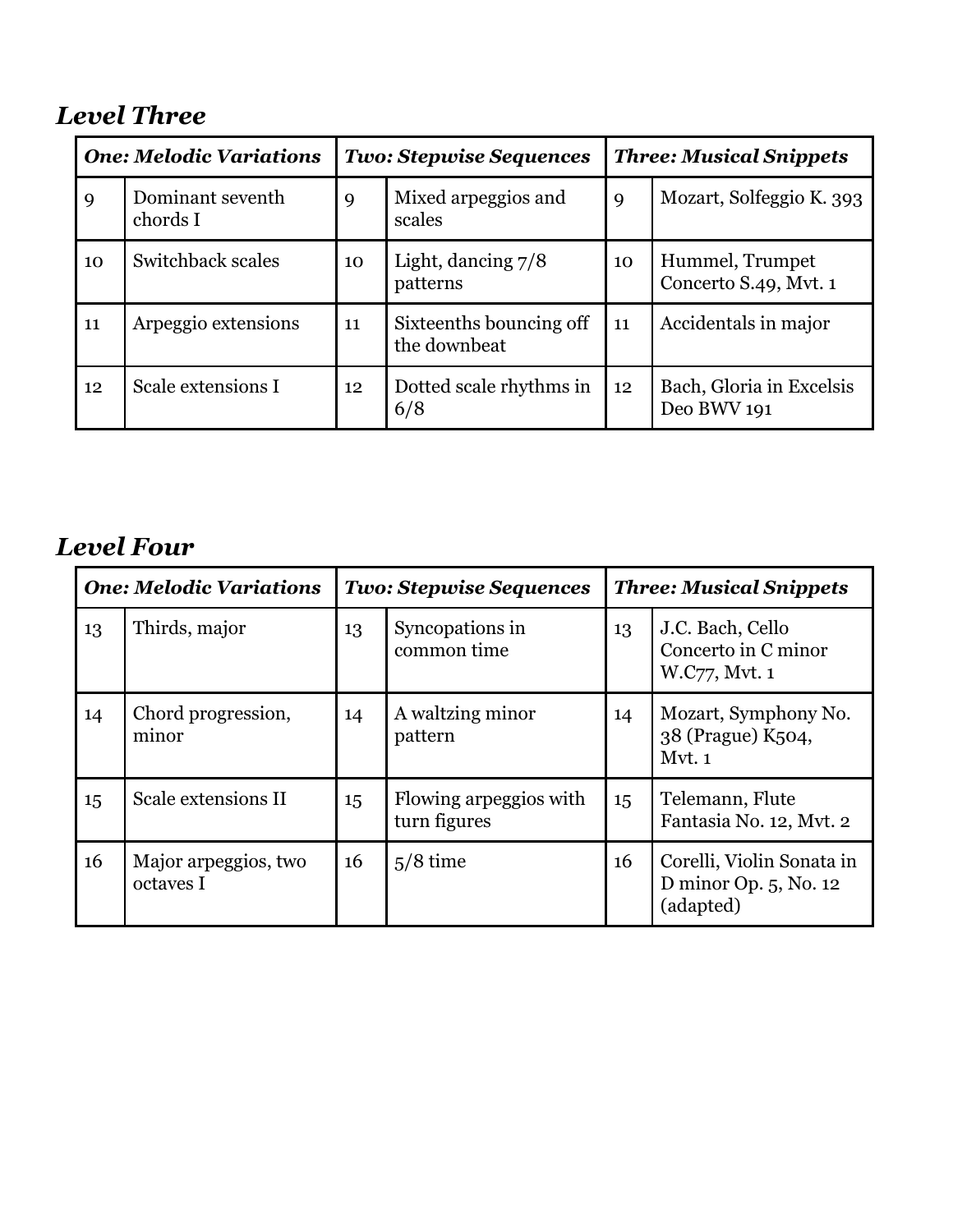# *Level Three*

| <b>One: Melodic Variations</b> |                              | <b>Two: Stepwise Sequences</b> |                                         | <b>Three: Musical Snippets</b> |                                          |
|--------------------------------|------------------------------|--------------------------------|-----------------------------------------|--------------------------------|------------------------------------------|
| 9                              | Dominant seventh<br>chords I | 9                              | Mixed arpeggios and<br>scales           | 9                              | Mozart, Solfeggio K. 393                 |
| 10                             | Switchback scales            | 10                             | Light, dancing $7/8$<br>patterns        | 10                             | Hummel, Trumpet<br>Concerto S.49, Mvt. 1 |
| 11                             | Arpeggio extensions          | 11                             | Sixteenths bouncing off<br>the downbeat | 11                             | Accidentals in major                     |
| 12                             | Scale extensions I           | 12                             | Dotted scale rhythms in<br>6/8          | 12                             | Bach, Gloria in Excelsis<br>Deo BWV 191  |

## *Level Four*

| <b>One: Melodic Variations</b> |                                   | <b>Two: Stepwise Sequences</b> |                                        | <b>Three: Musical Snippets</b> |                                                                    |
|--------------------------------|-----------------------------------|--------------------------------|----------------------------------------|--------------------------------|--------------------------------------------------------------------|
| 13                             | Thirds, major                     | 13                             | Syncopations in<br>common time         | 13                             | J.C. Bach, Cello<br>Concerto in C minor<br>W.C77, Mvt. 1           |
| 14                             | Chord progression,<br>minor       | 14                             | A waltzing minor<br>pattern            | 14                             | Mozart, Symphony No.<br>38 (Prague) K504,<br>Mvt. 1                |
| 15                             | Scale extensions II               | 15                             | Flowing arpeggios with<br>turn figures | 15                             | Telemann, Flute<br>Fantasia No. 12, Mvt. 2                         |
| 16                             | Major arpeggios, two<br>octaves I | 16                             | $5/8$ time                             | 16                             | Corelli, Violin Sonata in<br>D minor Op. $5$ , No. 12<br>(adapted) |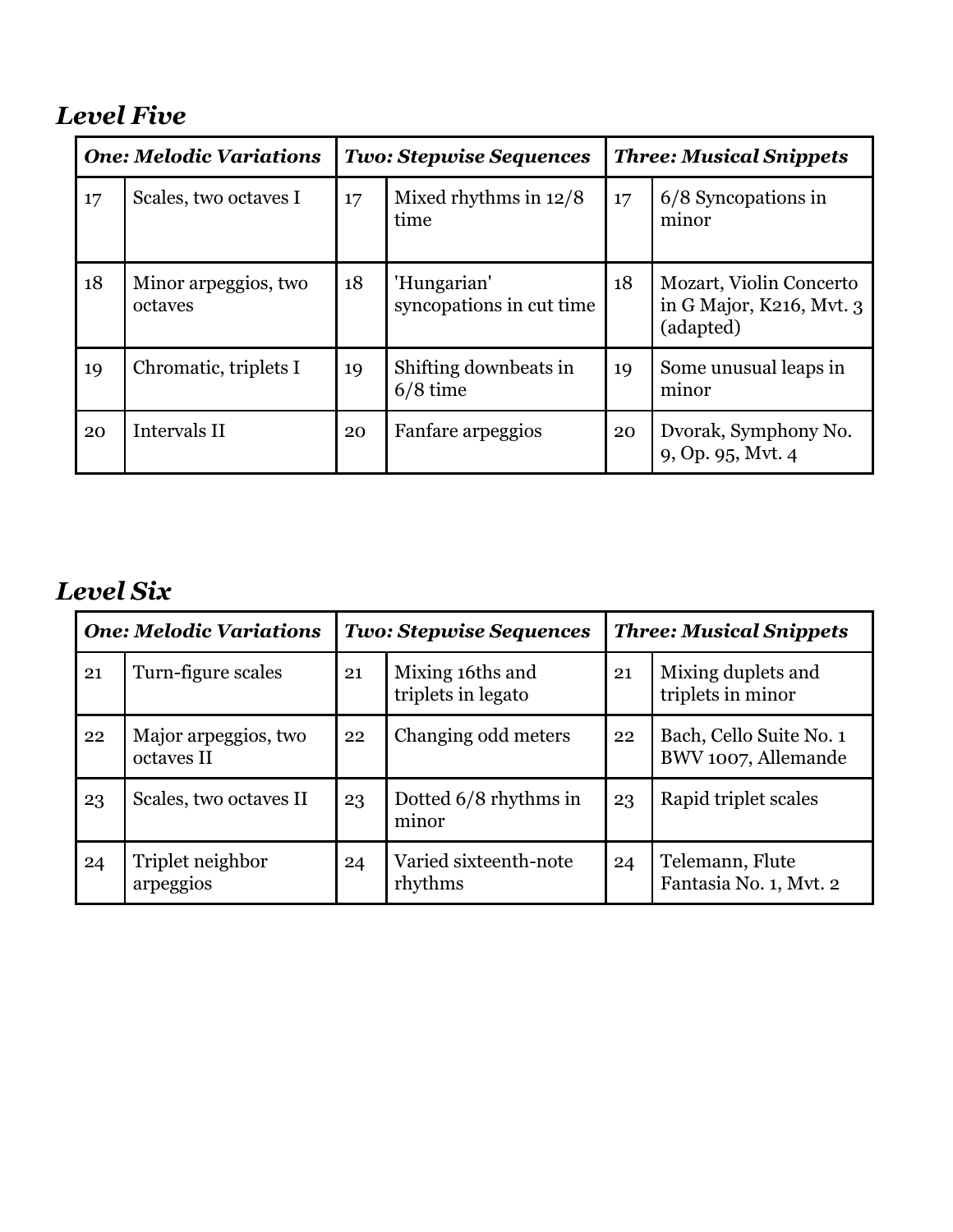## *Level Five*

| <b>One: Melodic Variations</b> |                                 | <b>Two: Stepwise Sequences</b> |                                         | <b>Three: Musical Snippets</b> |                                                                  |
|--------------------------------|---------------------------------|--------------------------------|-----------------------------------------|--------------------------------|------------------------------------------------------------------|
| 17 <sup>2</sup>                | Scales, two octaves I           | 17                             | Mixed rhythms in $12/8$<br>time         | 17                             | 6/8 Syncopations in<br>minor                                     |
| 18                             | Minor arpeggios, two<br>octaves | 18                             | 'Hungarian'<br>syncopations in cut time | 18                             | Mozart, Violin Concerto<br>in G Major, K216, Mvt. 3<br>(adapted) |
| 19                             | Chromatic, triplets I           | 19                             | Shifting downbeats in<br>$6/8$ time     | 19                             | Some unusual leaps in<br>minor                                   |
| 20                             | Intervals II                    | 20                             | Fanfare arpeggios                       | 20                             | Dvorak, Symphony No.<br>9, Op. 95, Mvt. 4                        |

# *Level Six*

| <b>One: Melodic Variations</b> |                                    | <b>Two: Stepwise Sequences</b> |                                        | <b>Three: Musical Snippets</b> |                                                |
|--------------------------------|------------------------------------|--------------------------------|----------------------------------------|--------------------------------|------------------------------------------------|
| 21                             | Turn-figure scales                 | 21                             | Mixing 16ths and<br>triplets in legato | 21                             | Mixing duplets and<br>triplets in minor        |
| 22                             | Major arpeggios, two<br>octaves II | 22                             | Changing odd meters                    | 22                             | Bach, Cello Suite No. 1<br>BWV 1007, Allemande |
| 23                             | Scales, two octaves II             | 23                             | Dotted 6/8 rhythms in<br>minor         | 23                             | Rapid triplet scales                           |
| 24                             | Triplet neighbor<br>arpeggios      | 24                             | Varied sixteenth-note<br>rhythms       | 24                             | Telemann, Flute<br>Fantasia No. 1, Mvt. 2      |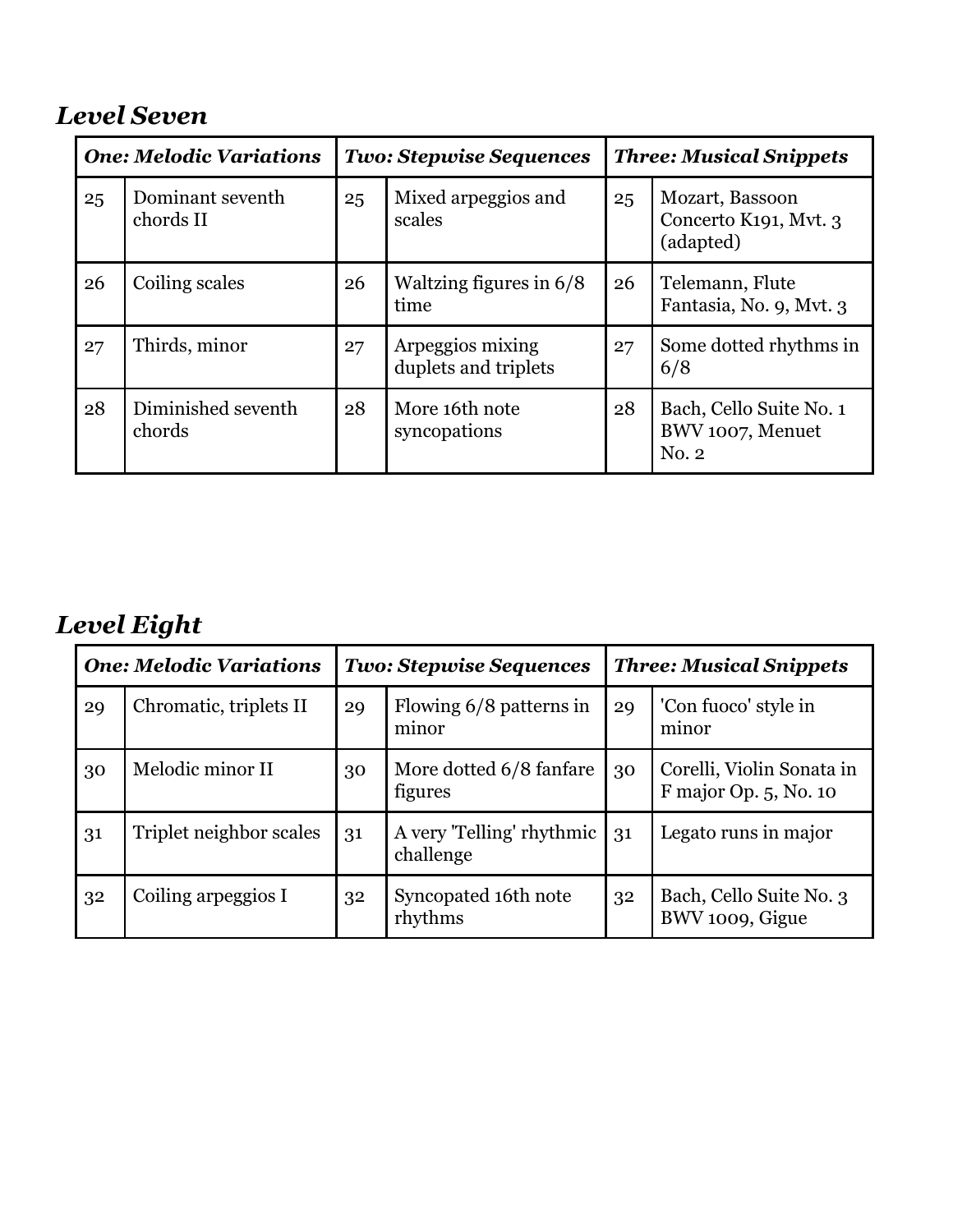## *Level Seven*

| <b>One: Melodic Variations</b> |                               | <b>Two: Stepwise Sequences</b> |                                          | <b>Three: Musical Snippets</b> |                                                       |
|--------------------------------|-------------------------------|--------------------------------|------------------------------------------|--------------------------------|-------------------------------------------------------|
| 25                             | Dominant seventh<br>chords II | 25                             | Mixed arpeggios and<br>scales            | 25                             | Mozart, Bassoon<br>Concerto K191, Mvt. 3<br>(adapted) |
| 26                             | Coiling scales                | 26                             | Waltzing figures in $6/8$<br>time        | 26                             | Telemann, Flute<br>Fantasia, No. 9, Mvt. 3            |
| 27                             | Thirds, minor                 | 27                             | Arpeggios mixing<br>duplets and triplets | 27                             | Some dotted rhythms in<br>6/8                         |
| 28                             | Diminished seventh<br>chords  | 28                             | More 16th note<br>syncopations           | 28                             | Bach, Cello Suite No. 1<br>BWV 1007, Menuet<br>No. 2  |

# *Level Eight*

| <b>One: Melodic Variations</b> |                         | <b>Two: Stepwise Sequences</b> |                                        | <b>Three: Musical Snippets</b> |                                                    |
|--------------------------------|-------------------------|--------------------------------|----------------------------------------|--------------------------------|----------------------------------------------------|
| 29                             | Chromatic, triplets II  | 29                             | Flowing 6/8 patterns in<br>minor       | 29                             | 'Con fuoco' style in<br>minor                      |
| 30                             | Melodic minor II        | 30                             | More dotted 6/8 fanfare<br>figures     | 30                             | Corelli, Violin Sonata in<br>F major Op. 5, No. 10 |
| 31                             | Triplet neighbor scales | 31                             | A very 'Telling' rhythmic<br>challenge | 31                             | Legato runs in major                               |
| 32                             | Coiling arpeggios I     | 32                             | Syncopated 16th note<br>rhythms        | 32                             | Bach, Cello Suite No. 3<br>BWV 1009, Gigue         |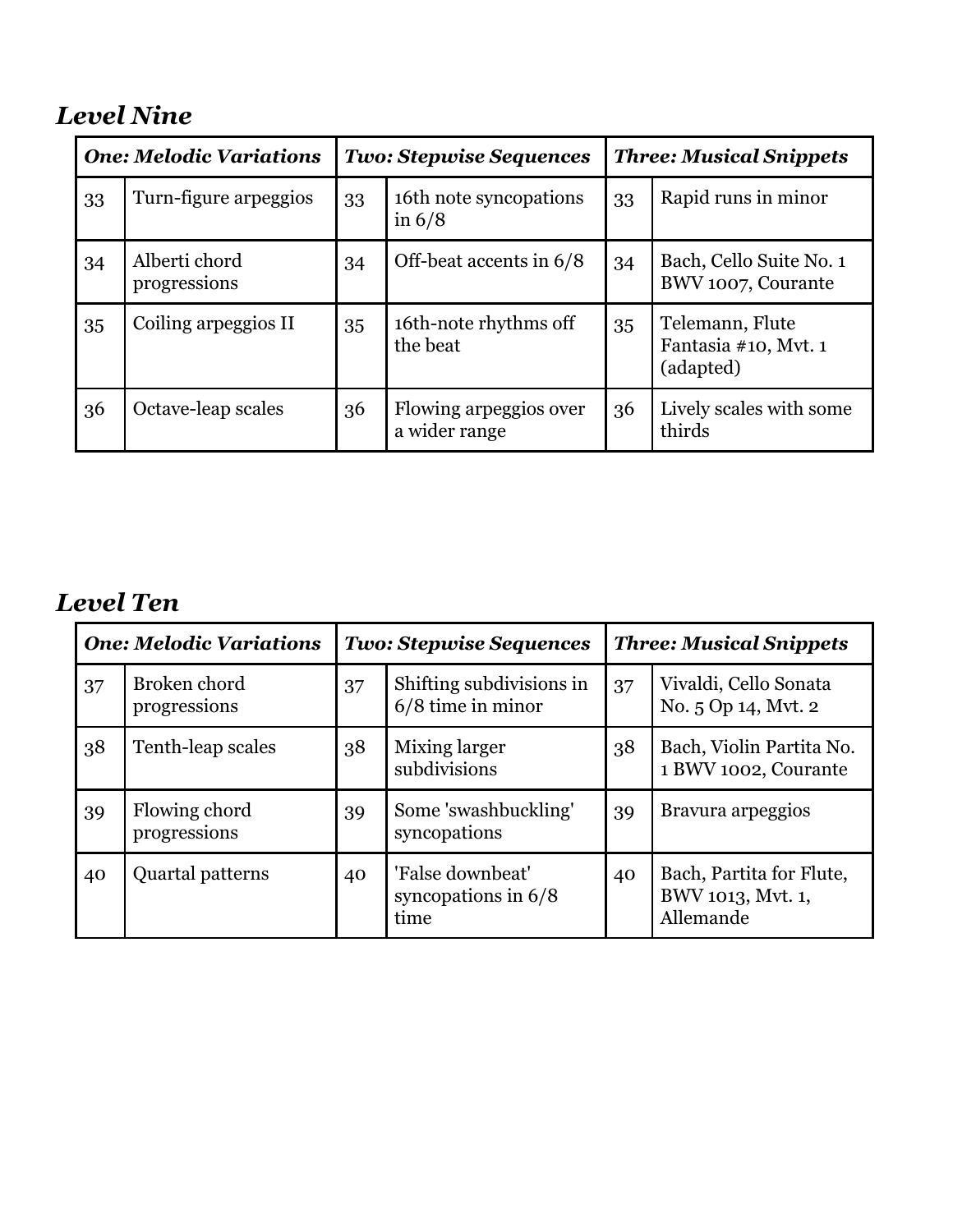## *Level Nine*

| <b>One: Melodic Variations</b> |                               | <b>Two: Stepwise Sequences</b> |                                         | <b>Three: Musical Snippets</b> |                                                      |  |
|--------------------------------|-------------------------------|--------------------------------|-----------------------------------------|--------------------------------|------------------------------------------------------|--|
| 33                             | Turn-figure arpeggios         | 33                             | 16th note syncopations<br>in $6/8$      | 33                             | Rapid runs in minor                                  |  |
| 34                             | Alberti chord<br>progressions | 34                             | Off-beat accents in 6/8                 | 34                             | Bach, Cello Suite No. 1<br>BWV 1007, Courante        |  |
| 35                             | Coiling arpeggios II          | 35                             | 16th-note rhythms off<br>the beat       | 35                             | Telemann, Flute<br>Fantasia #10, Mvt. 1<br>(adapted) |  |
| 36                             | Octave-leap scales            | 36                             | Flowing arpeggios over<br>a wider range | 36                             | Lively scales with some<br>thirds                    |  |

#### *Level Ten*

| <b>One: Melodic Variations</b> |                               | <b>Two: Stepwise Sequences</b> |                                                   | <b>Three: Musical Snippets</b> |                                                            |
|--------------------------------|-------------------------------|--------------------------------|---------------------------------------------------|--------------------------------|------------------------------------------------------------|
| 37                             | Broken chord<br>progressions  | 37                             | Shifting subdivisions in<br>$6/8$ time in minor   | 37                             | Vivaldi, Cello Sonata<br>No. 5 Op 14, Mvt. 2               |
| 38                             | Tenth-leap scales             | 38                             | Mixing larger<br>subdivisions                     | 38                             | Bach, Violin Partita No.<br>1 BWV 1002, Courante           |
| 39                             | Flowing chord<br>progressions | 39                             | Some 'swashbuckling'<br>syncopations              | 39                             | Bravura arpeggios                                          |
| 40                             | Quartal patterns              | 40                             | 'False downbeat'<br>syncopations in $6/8$<br>time | 40                             | Bach, Partita for Flute,<br>BWV 1013, Mvt. 1,<br>Allemande |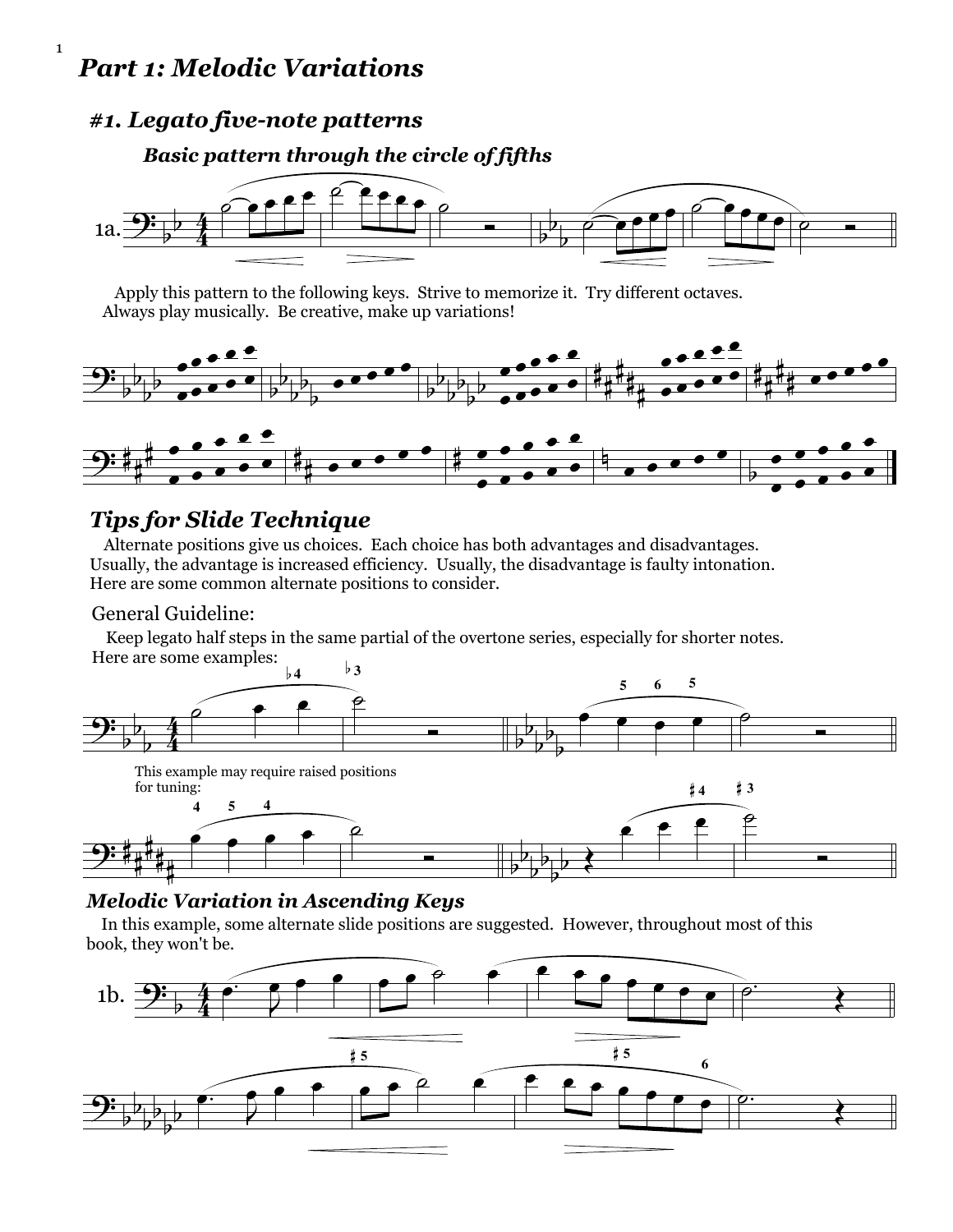#### *Part 1: Melodic Variations*

1

#### *#1. Legato five-note patterns*

#### *Basic pattern through the circle of fifths*



 Apply this pattern to the following keys. Strive to memorize it. Try different octaves. Always play musically. Be creative, make up variations!



#### *Tips for Slide Technique*

 Alternate positions give us choices. Each choice has both advantages and disadvantages. Usually, the advantage is increased efficiency. Usually, the disadvantage is faulty intonation. Here are some common alternate positions to consider.

#### General Guideline:

 Keep legato half steps in the same partial of the overtone series, especially for shorter notes. Here are some examples:



#### *Melodic Variation in Ascending Keys*

In this example, some alternate slide positions are suggested. However, throughout most of this book, they won't be.

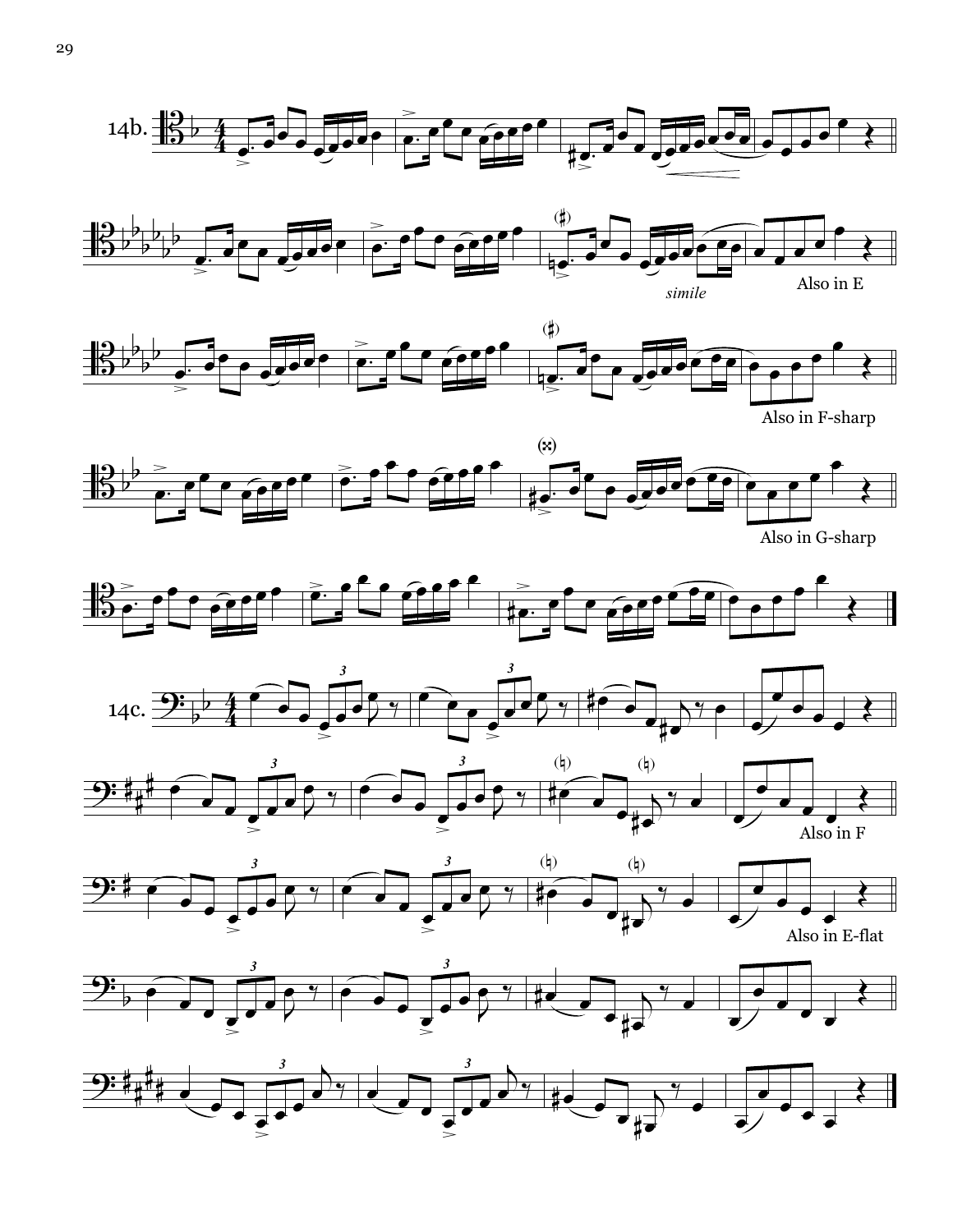





Also in F-sharp



Also in G-sharp











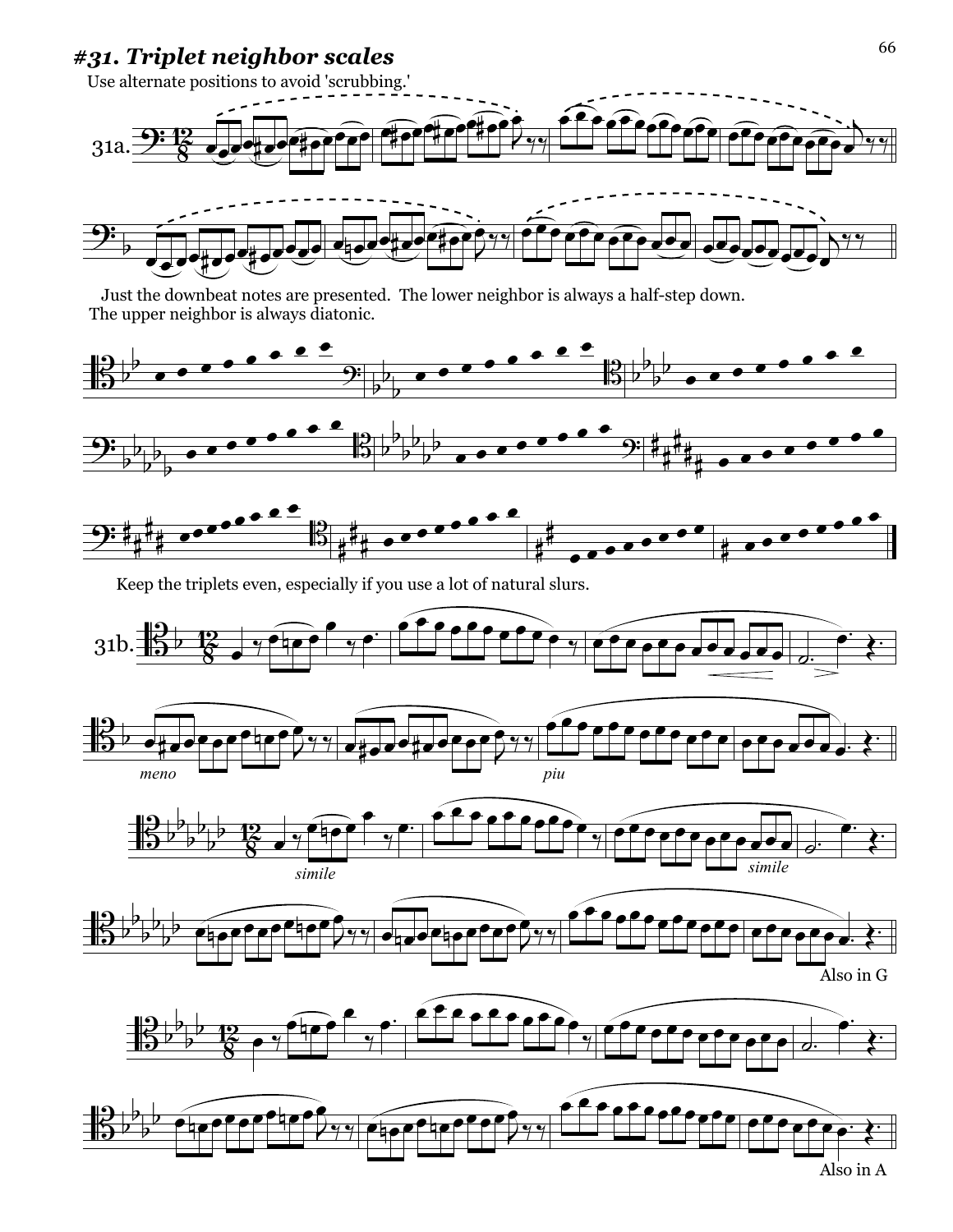#### *#31. Triplet neighbor scales*



 Just the downbeat notes are presented. The lower neighbor is always a half-step down. The upper neighbor is always diatonic.



Keep the triplets even, especially if you use a lot of natural slurs.

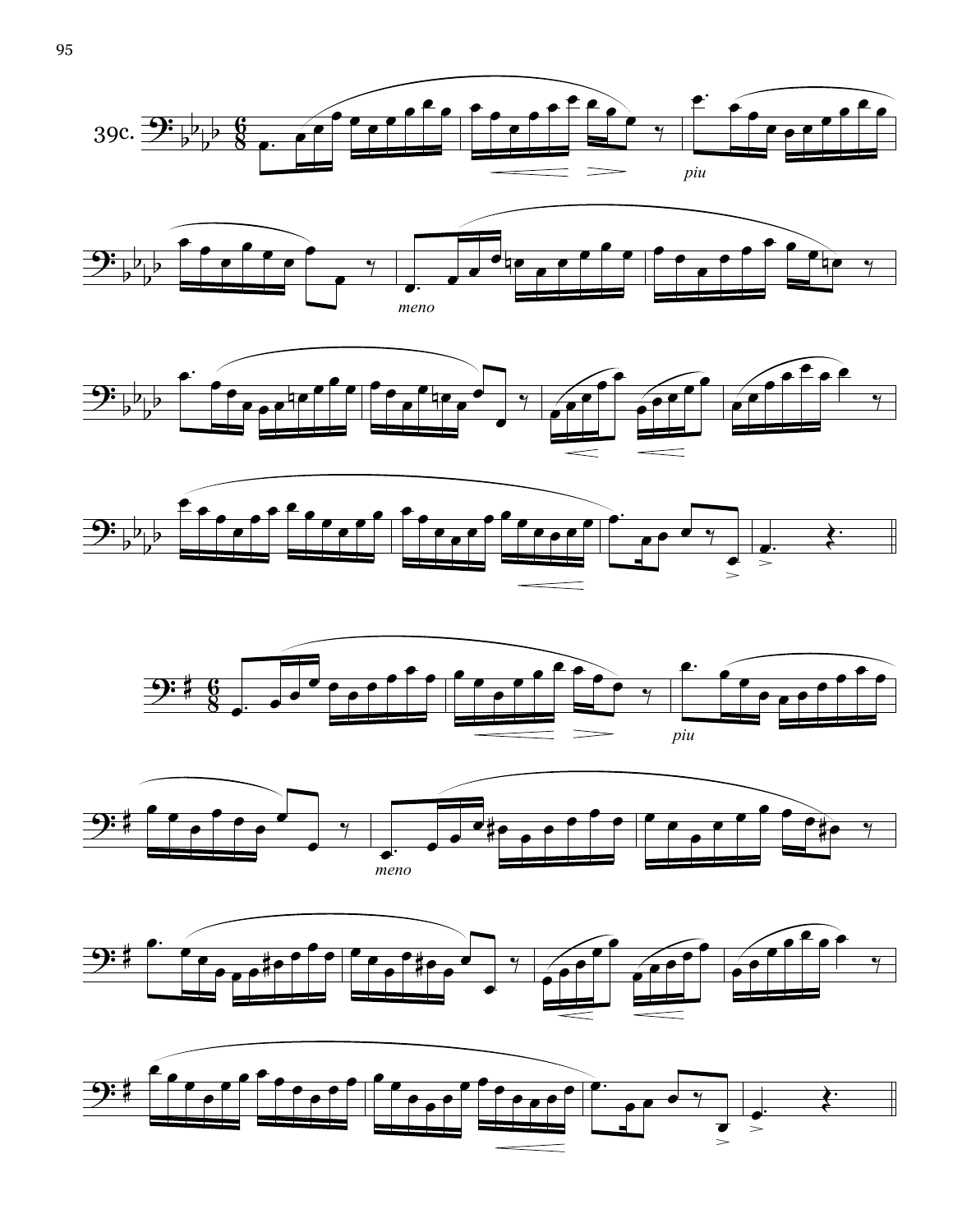













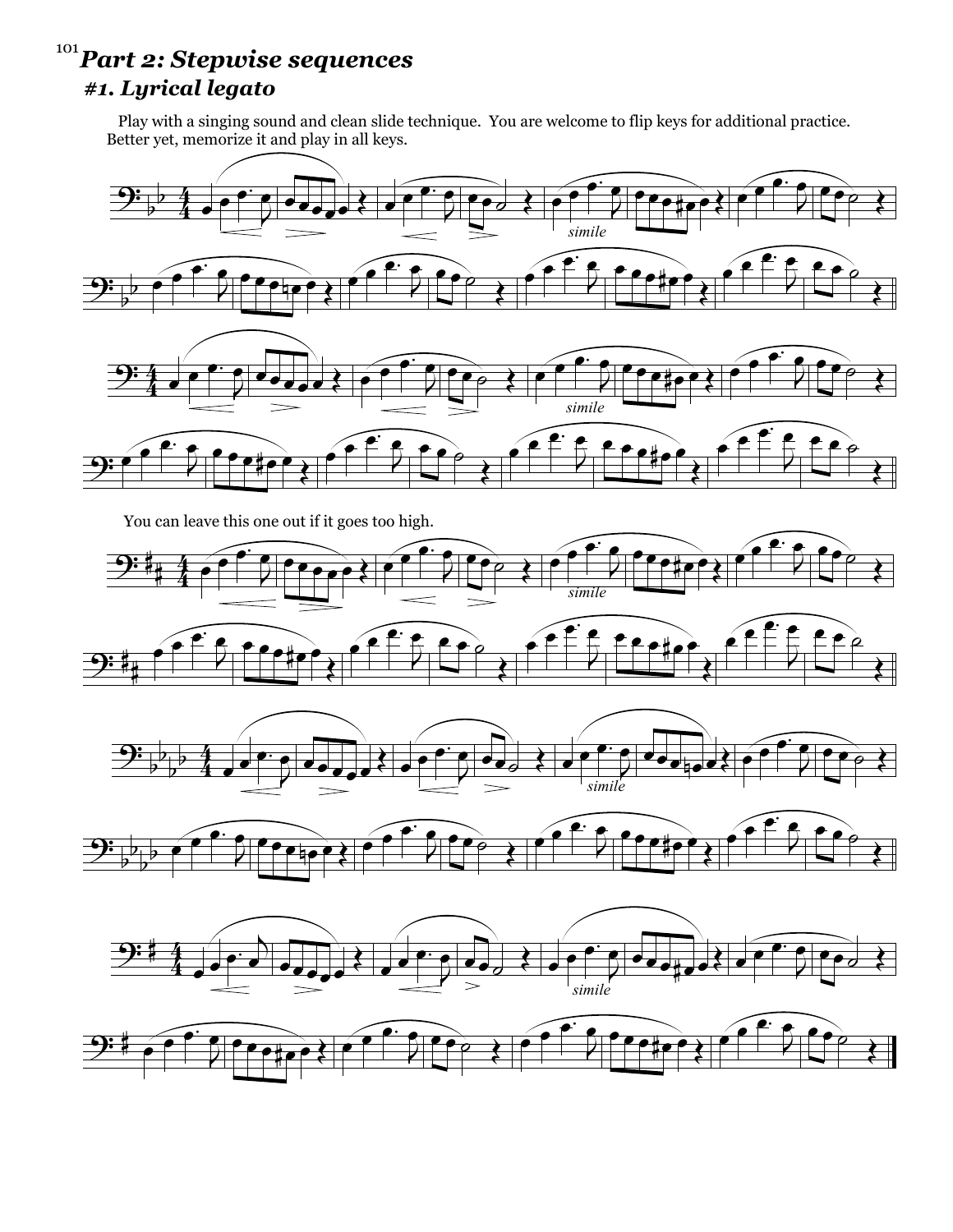#### *Part 2: Stepwise sequences* 101*#1. Lyrical legato*

 Play with a singing sound and clean slide technique. You are welcome to flip keys for additional practice. Better yet, memorize it and play in all keys.



You can leave this one out if it goes too high.











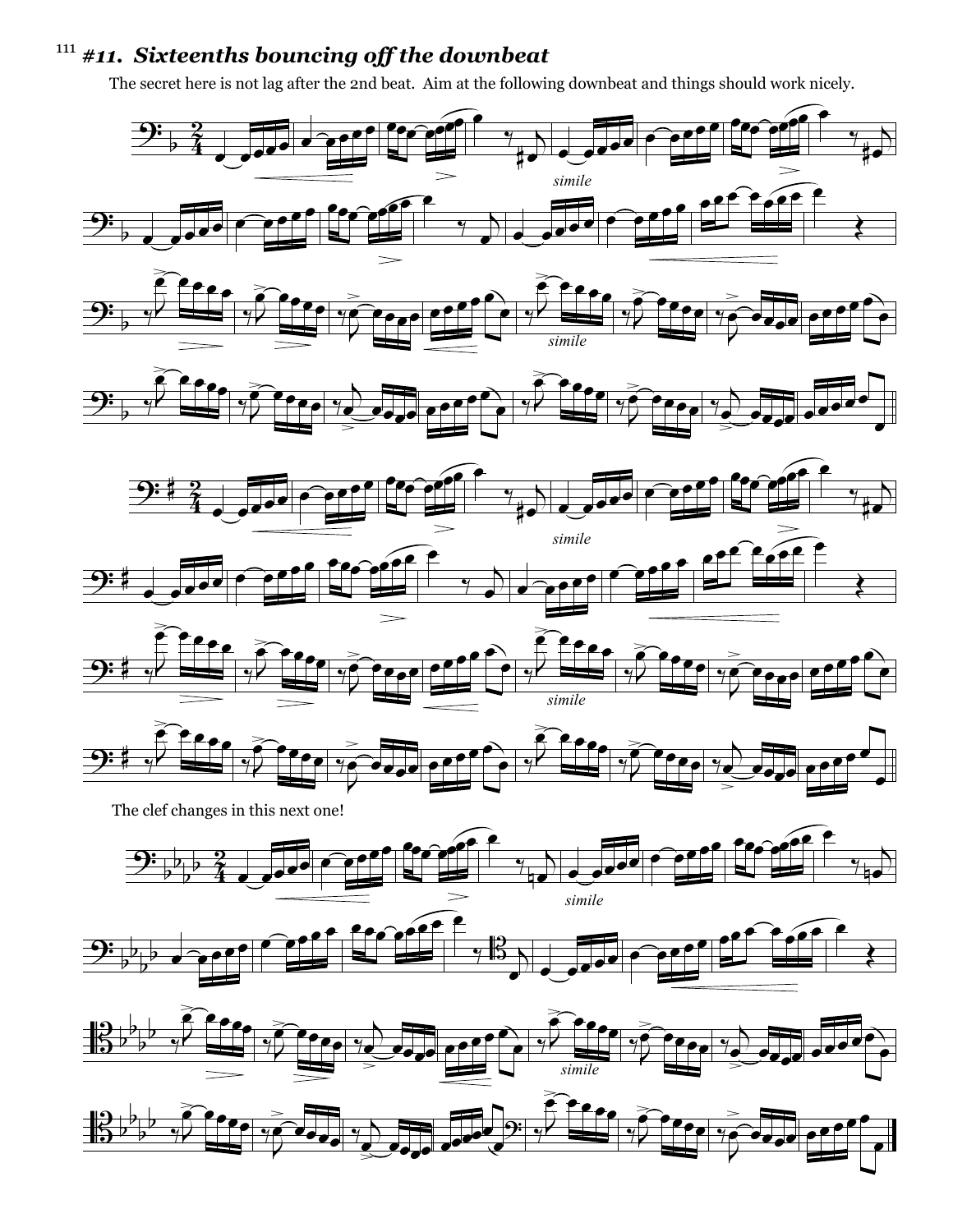#### *#11. Sixteenths bouncing off the downbeat* 111

The secret here is not lag after the 2nd beat. Aim at the following downbeat and things should work nicely.

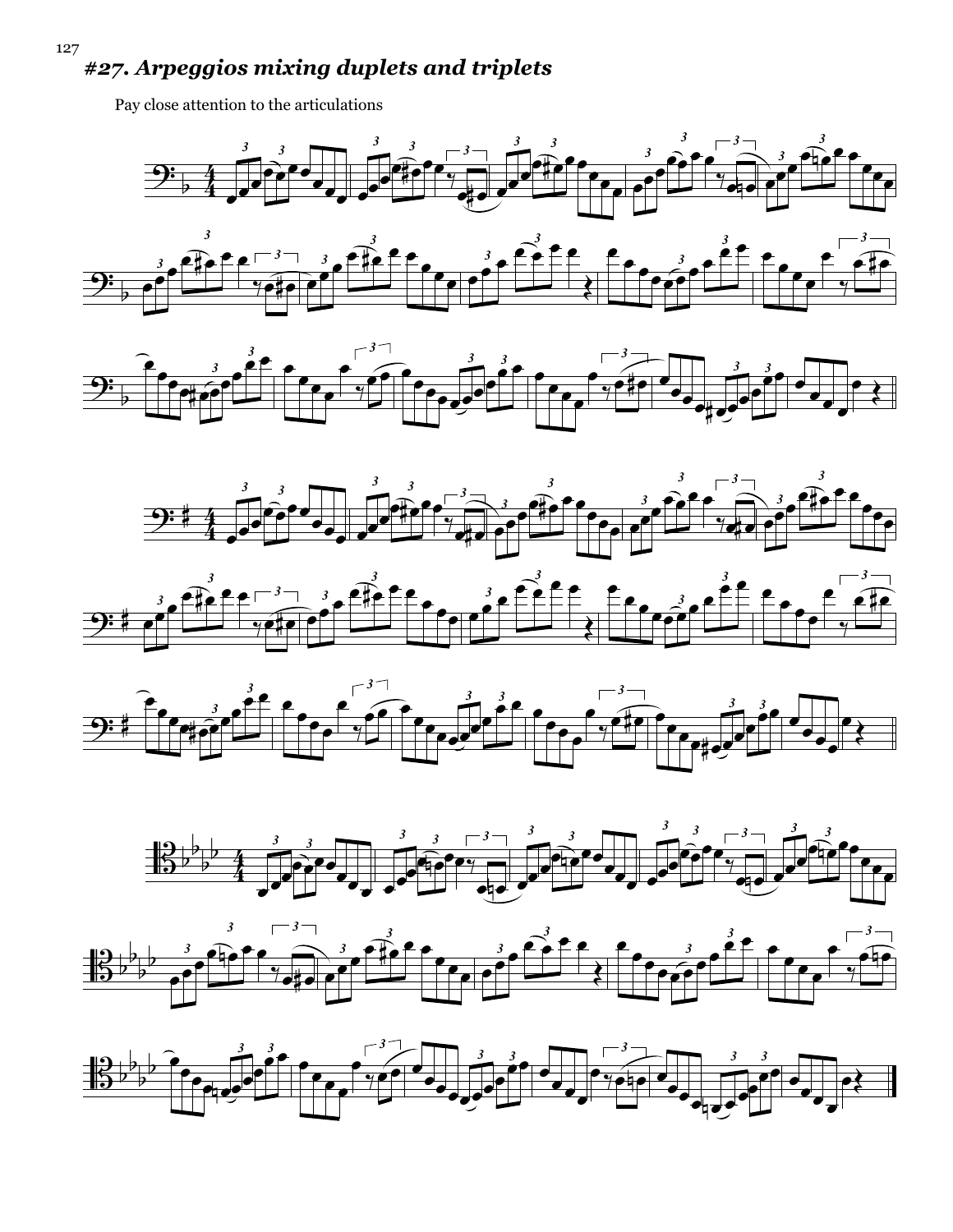#### *#27. Arpeggios mixing duplets and triplets*

Pay close attention to the articulations













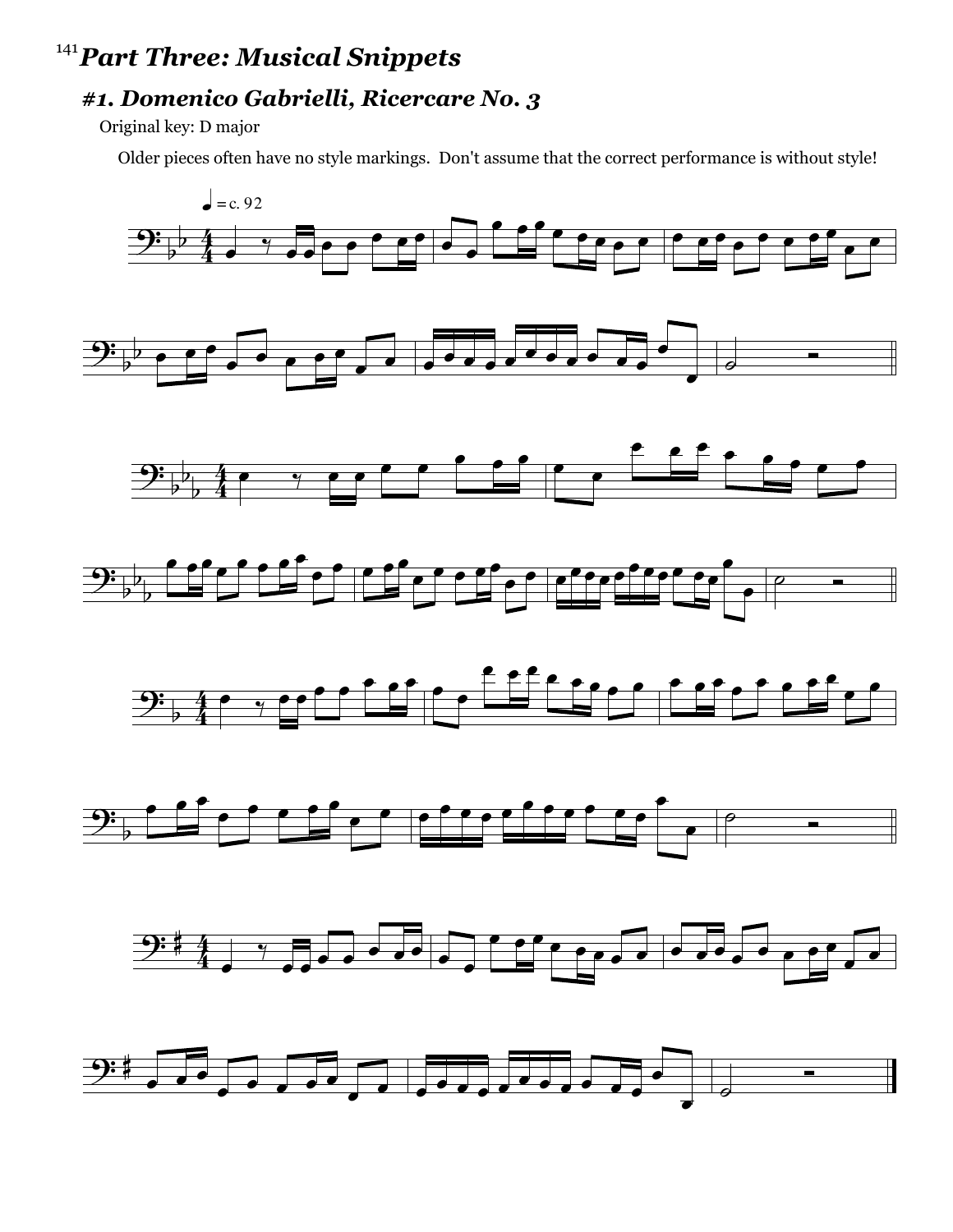#### *Part Three: Musical Snippets* 141

#### *#1. Domenico Gabrielli, Ricercare No. 3*

Original key: D major

Older pieces often have no style markings. Don't assume that the correct performance is without style!

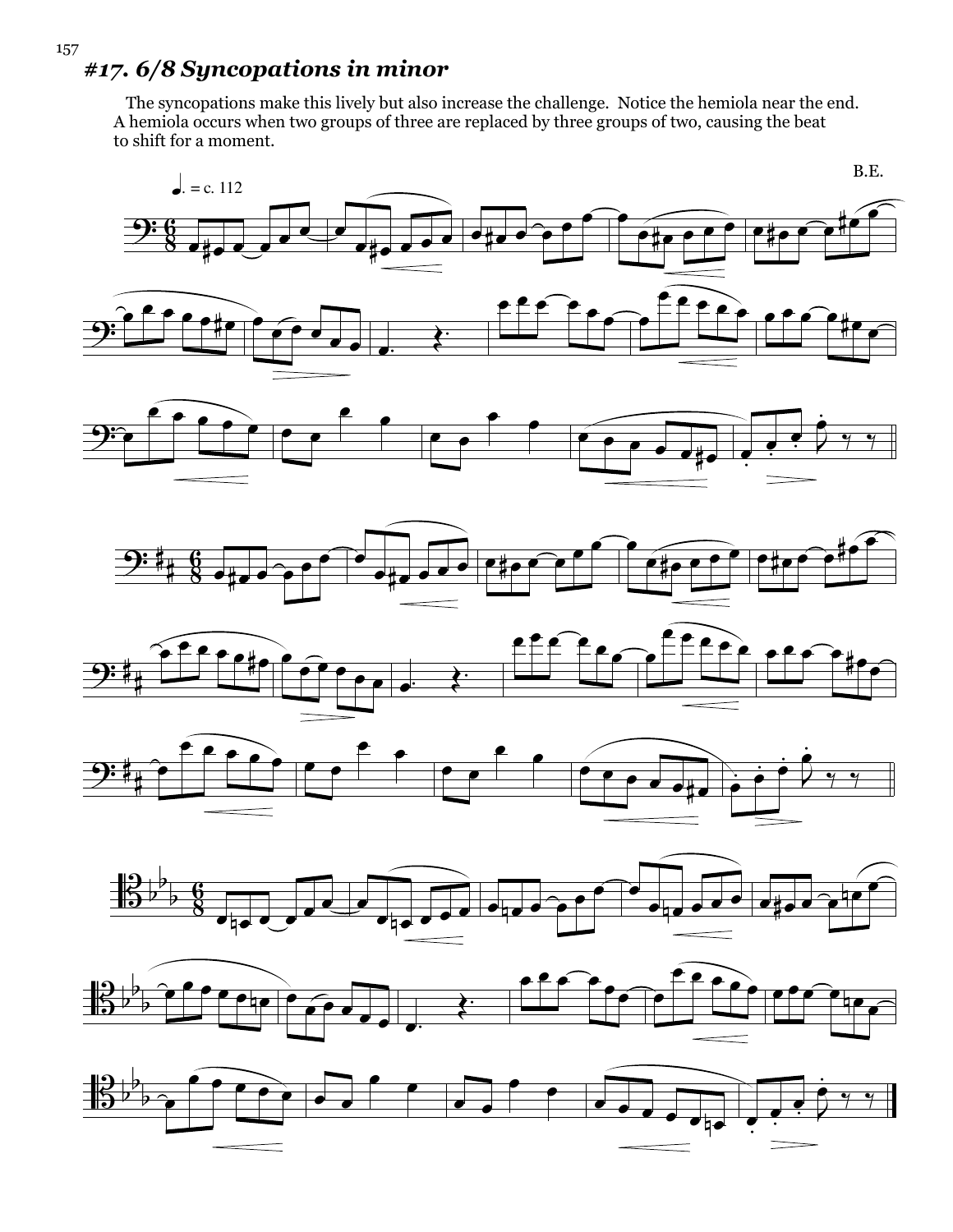#### *#17. 6/8 Syncopations in minor*

 The syncopations make this lively but also increase the challenge. Notice the hemiola near the end. A hemiola occurs when two groups of three are replaced by three groups of two, causing the beat to shift for a moment.